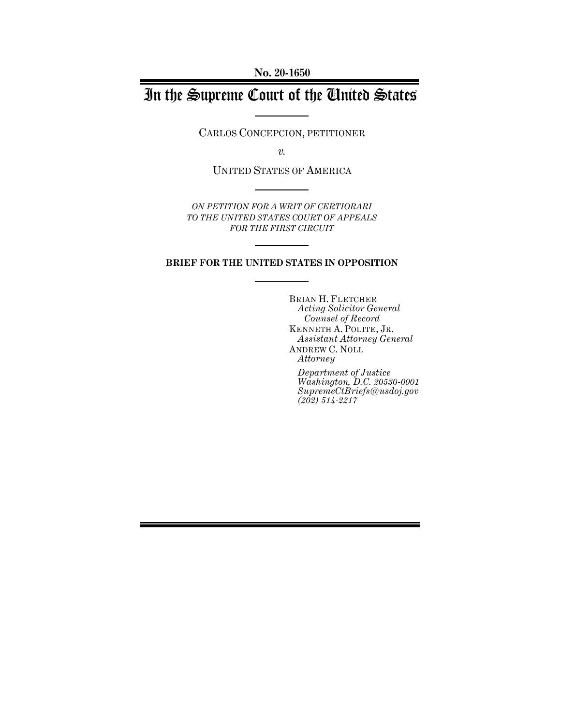**No. 20-1650**

# In the Supreme Court of the United States

CARLOS CONCEPCION, PETITIONER

*v.*

UNITED STATES OF AMERICA

*ON PETITION FOR A WRIT OF CERTIORARI TO THE UNITED STATES COURT OF APPEALS FOR THE FIRST CIRCUIT* 

### **BRIEF FOR THE UNITED STATES IN OPPOSITION**

BRIAN H. FLETCHER *Acting Solicitor General Counsel of Record* KENNETH A. POLITE, JR. *Assistant Attorney General* ANDREW C. NOLL *Attorney*

*Department of Justice Washington, D.C. 20530-0001 SupremeCtBriefs@usdoj.gov (202) 514-2217*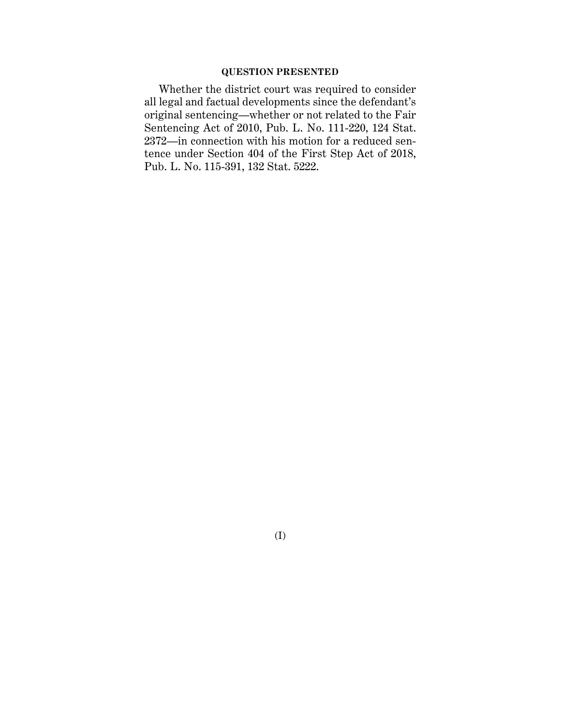### **QUESTION PRESENTED**

Whether the district court was required to consider all legal and factual developments since the defendant's original sentencing—whether or not related to the Fair Sentencing Act of 2010, Pub. L. No. 111-220, 124 Stat. 2372—in connection with his motion for a reduced sentence under Section 404 of the First Step Act of 2018, Pub. L. No. 115-391, 132 Stat. 5222.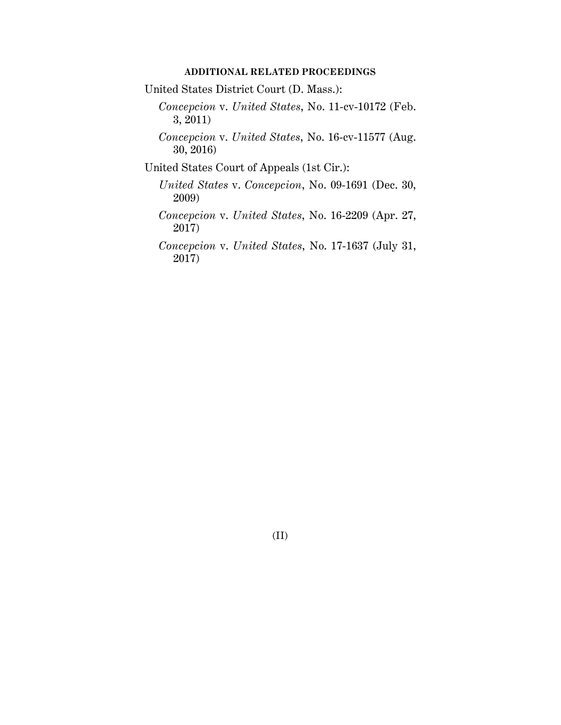### **ADDITIONAL RELATED PROCEEDINGS**

United States District Court (D. Mass.):

- *Concepcion* v. *United States*, No. 11-cv-10172 (Feb. 3, 2011)
- *Concepcion* v. *United States*, No. 16-cv-11577 (Aug. 30, 2016)

United States Court of Appeals (1st Cir.):

- *United States* v. *Concepcion*, No. 09-1691 (Dec. 30, 2009)
- *Concepcion* v. *United States*, No. 16-2209 (Apr. 27, 2017)

*Concepcion* v. *United States*, No. 17-1637 (July 31, 2017)

(II)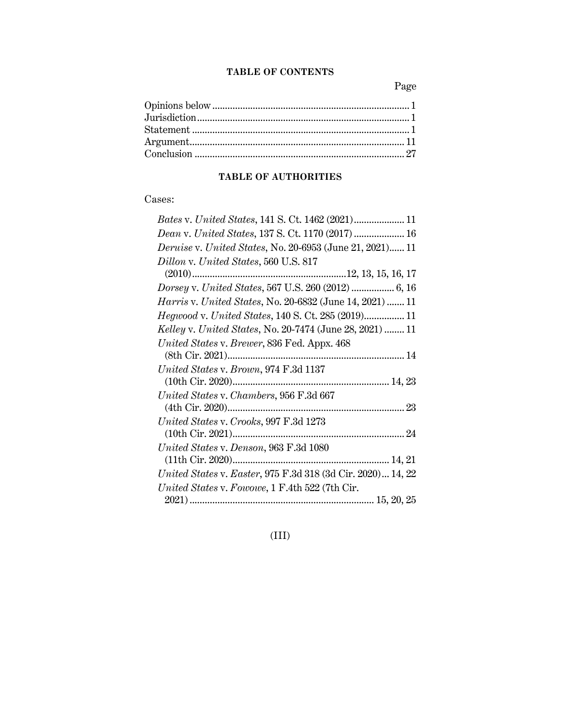### **TABLE OF CONTENTS**

Page

## **TABLE OF AUTHORITIES**

## Cases:

| Dean v. United States, 137 S. Ct. 1170 (2017)  16               |
|-----------------------------------------------------------------|
| <i>Deruise v. United States, No. 20-6953 (June 21, 2021) 11</i> |
| Dillon v. United States, 560 U.S. 817                           |
|                                                                 |
|                                                                 |
| <i>Harris v. United States, No. 20-6832 (June 14, 2021)  11</i> |
|                                                                 |
| <i>Kelley v. United States, No. 20-7474 (June 28, 2021)  11</i> |
| United States v. Brewer, 836 Fed. Appx. 468                     |
|                                                                 |
| United States v. Brown, 974 F.3d 1137                           |
|                                                                 |
| United States v. Chambers, 956 F.3d 667                         |
|                                                                 |
| United States v. Crooks, 997 F.3d 1273                          |
|                                                                 |
| United States v. Denson, 963 F.3d 1080                          |
|                                                                 |
| United States v. Easter, 975 F.3d 318 (3d Cir. 2020) 14, 22     |
| United States v. Fowowe, 1 F.4th 522 (7th Cir.                  |
|                                                                 |

## (III)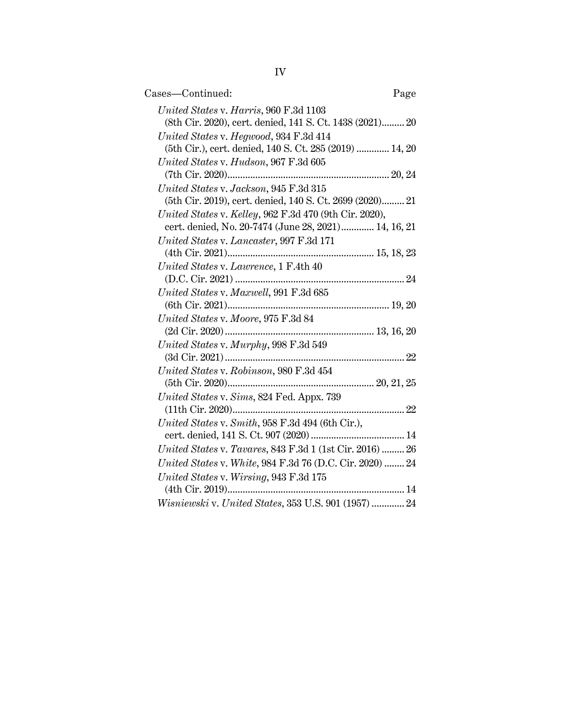| Cases—Continued:                                                                                               | Page |
|----------------------------------------------------------------------------------------------------------------|------|
| United States v. Harris, 960 F.3d 1103<br>(8th Cir. 2020), cert. denied, 141 S. Ct. 1438 (2021) 20             |      |
| United States v. Hegwood, 934 F.3d 414<br>(5th Cir.), cert. denied, 140 S. Ct. 285 (2019)  14, 20              |      |
| United States v. Hudson, 967 F.3d 605                                                                          |      |
| United States v. Jackson, 945 F.3d 315                                                                         |      |
| (5th Cir. 2019), cert. denied, 140 S. Ct. 2699 (2020) 21                                                       |      |
| United States v. Kelley, 962 F.3d 470 (9th Cir. 2020),<br>cert. denied, No. 20-7474 (June 28, 2021) 14, 16, 21 |      |
| United States v. Lancaster, 997 F.3d 171                                                                       |      |
| United States v. Lawrence, 1 F.4th 40                                                                          |      |
| United States v. Maxwell, 991 F.3d 685                                                                         |      |
|                                                                                                                |      |
| United States v. Moore, 975 F.3d 84                                                                            |      |
| United States v. Murphy, 998 F.3d 549                                                                          |      |
| United States v. Robinson, 980 F.3d 454                                                                        |      |
| United States v. Sims, 824 Fed. Appx. 739                                                                      |      |
|                                                                                                                |      |
| United States v. Smith, 958 F.3d 494 (6th Cir.),                                                               |      |
| United States v. Tavares, 843 F.3d 1 (1st Cir. 2016)  26                                                       |      |
| United States v. White, 984 F.3d 76 (D.C. Cir. 2020)  24                                                       |      |
| United States v. Wirsing, 943 F.3d 175                                                                         |      |
| Wisniewski v. United States, 353 U.S. 901 (1957)  24                                                           |      |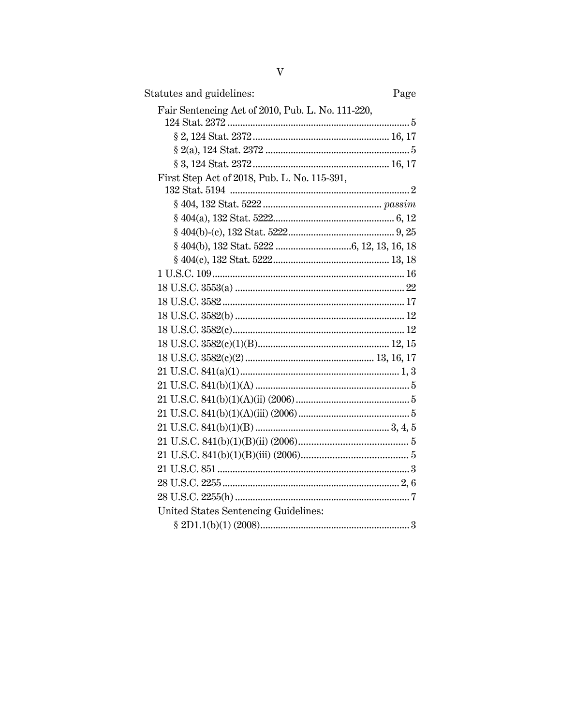| Statutes and guidelines:<br>Page                  |
|---------------------------------------------------|
| Fair Sentencing Act of 2010, Pub. L. No. 111-220, |
|                                                   |
|                                                   |
|                                                   |
|                                                   |
| First Step Act of 2018, Pub. L. No. 115-391,      |
|                                                   |
|                                                   |
|                                                   |
|                                                   |
|                                                   |
|                                                   |
|                                                   |
|                                                   |
|                                                   |
|                                                   |
|                                                   |
|                                                   |
|                                                   |
|                                                   |
|                                                   |
|                                                   |
|                                                   |
|                                                   |
|                                                   |
|                                                   |
|                                                   |
|                                                   |
|                                                   |
| United States Sentencing Guidelines:              |
|                                                   |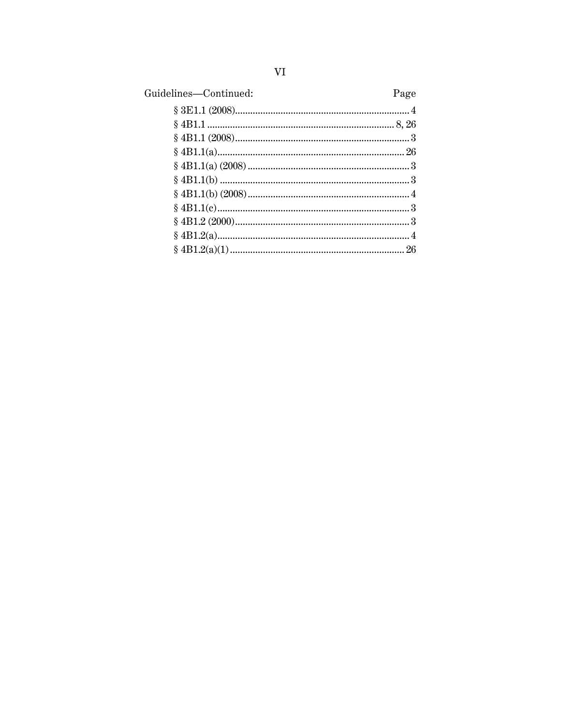| Guidelines-Continued: | Page |
|-----------------------|------|
|                       |      |
|                       |      |
|                       |      |
|                       |      |
|                       |      |
|                       |      |
|                       |      |
|                       |      |
|                       |      |
|                       |      |
|                       |      |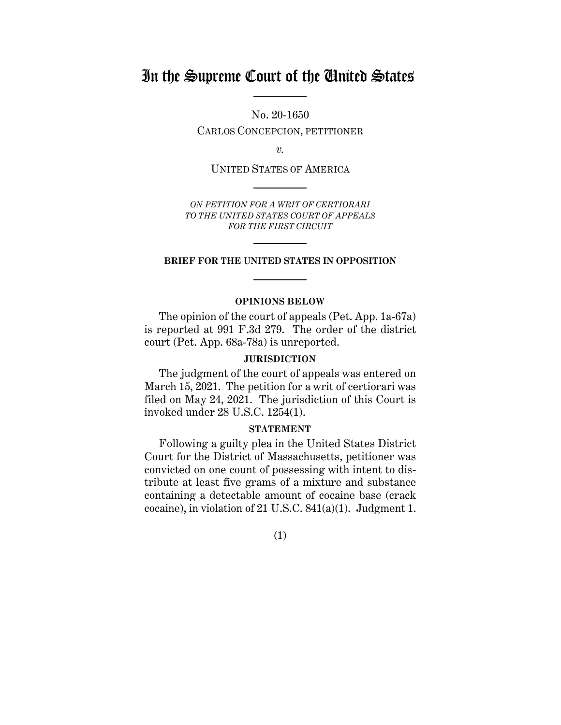## In the Supreme Court of the United States

No. 20-1650

CARLOS CONCEPCION, PETITIONER

*v.*

UNITED STATES OF AMERICA

*ON PETITION FOR A WRIT OF CERTIORARI TO THE UNITED STATES COURT OF APPEALS FOR THE FIRST CIRCUIT* 

#### **BRIEF FOR THE UNITED STATES IN OPPOSITION**

### **OPINIONS BELOW**

The opinion of the court of appeals (Pet. App. 1a-67a) is reported at 991 F.3d 279. The order of the district court (Pet. App. 68a-78a) is unreported.

### **JURISDICTION**

The judgment of the court of appeals was entered on March 15, 2021. The petition for a writ of certiorari was filed on May 24, 2021. The jurisdiction of this Court is invoked under 28 U.S.C. 1254(1).

### **STATEMENT**

Following a guilty plea in the United States District Court for the District of Massachusetts, petitioner was convicted on one count of possessing with intent to distribute at least five grams of a mixture and substance containing a detectable amount of cocaine base (crack cocaine), in violation of 21 U.S.C. 841(a)(1). Judgment 1.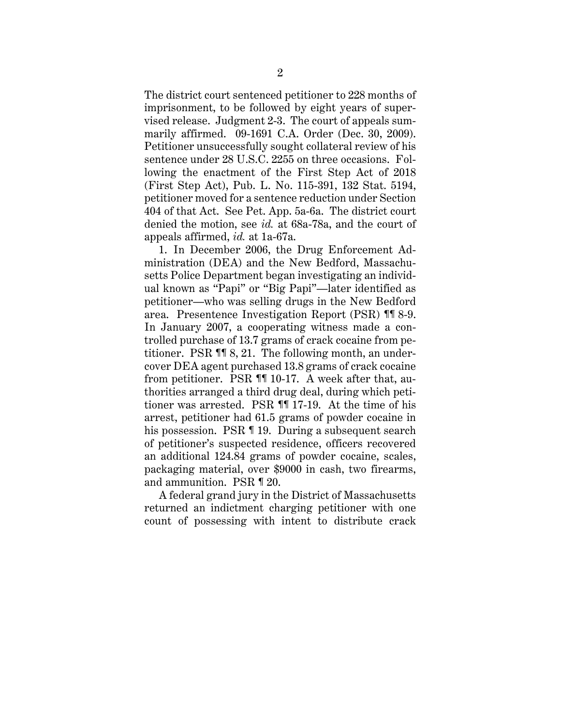The district court sentenced petitioner to 228 months of imprisonment, to be followed by eight years of supervised release. Judgment 2-3. The court of appeals summarily affirmed. 09-1691 C.A. Order (Dec. 30, 2009). Petitioner unsuccessfully sought collateral review of his sentence under 28 U.S.C. 2255 on three occasions. Following the enactment of the First Step Act of 2018 (First Step Act), Pub. L. No. 115-391, 132 Stat. 5194, petitioner moved for a sentence reduction under Section 404 of that Act. See Pet. App. 5a-6a. The district court denied the motion, see *id.* at 68a-78a, and the court of appeals affirmed, *id.* at 1a-67a.

1. In December 2006, the Drug Enforcement Administration (DEA) and the New Bedford, Massachusetts Police Department began investigating an individual known as "Papi" or "Big Papi"—later identified as petitioner—who was selling drugs in the New Bedford area. Presentence Investigation Report (PSR) ¶¶ 8-9. In January 2007, a cooperating witness made a controlled purchase of 13.7 grams of crack cocaine from petitioner. PSR ¶¶ 8, 21. The following month, an undercover DEA agent purchased 13.8 grams of crack cocaine from petitioner. PSR ¶¶ 10-17. A week after that, authorities arranged a third drug deal, during which petitioner was arrested. PSR ¶¶ 17-19. At the time of his arrest, petitioner had 61.5 grams of powder cocaine in his possession. PSR ¶ 19. During a subsequent search of petitioner's suspected residence, officers recovered an additional 124.84 grams of powder cocaine, scales, packaging material, over \$9000 in cash, two firearms, and ammunition. PSR ¶ 20.

A federal grand jury in the District of Massachusetts returned an indictment charging petitioner with one count of possessing with intent to distribute crack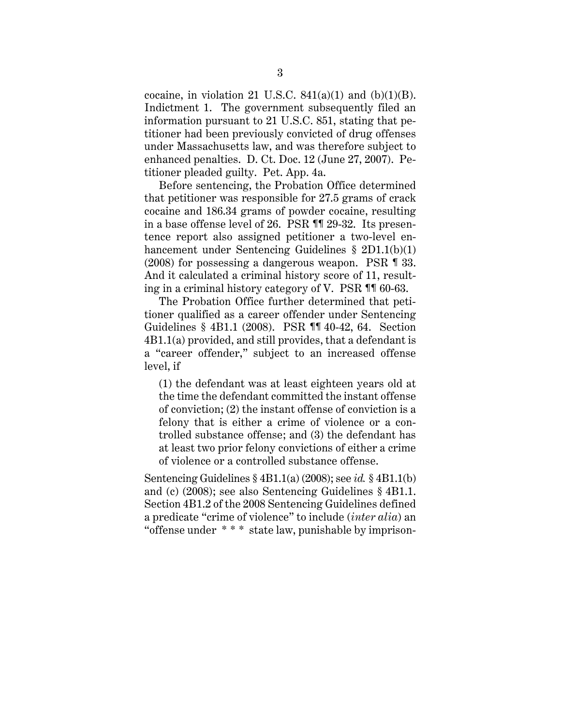cocaine, in violation 21 U.S.C.  $841(a)(1)$  and  $(b)(1)(B)$ . Indictment 1. The government subsequently filed an information pursuant to 21 U.S.C. 851, stating that petitioner had been previously convicted of drug offenses under Massachusetts law, and was therefore subject to enhanced penalties. D. Ct. Doc. 12 (June 27, 2007). Petitioner pleaded guilty. Pet. App. 4a.

Before sentencing, the Probation Office determined that petitioner was responsible for 27.5 grams of crack cocaine and 186.34 grams of powder cocaine, resulting in a base offense level of 26. PSR ¶¶ 29-32. Its presentence report also assigned petitioner a two-level enhancement under Sentencing Guidelines § 2D1.1(b)(1) (2008) for possessing a dangerous weapon. PSR ¶ 33. And it calculated a criminal history score of 11, resulting in a criminal history category of V. PSR ¶¶ 60-63.

The Probation Office further determined that petitioner qualified as a career offender under Sentencing Guidelines § 4B1.1 (2008). PSR ¶¶ 40-42, 64. Section 4B1.1(a) provided, and still provides, that a defendant is a "career offender," subject to an increased offense level, if

(1) the defendant was at least eighteen years old at the time the defendant committed the instant offense of conviction; (2) the instant offense of conviction is a felony that is either a crime of violence or a controlled substance offense; and (3) the defendant has at least two prior felony convictions of either a crime of violence or a controlled substance offense.

Sentencing Guidelines § 4B1.1(a) (2008); see *id.* § 4B1.1(b) and (c) (2008); see also Sentencing Guidelines § 4B1.1. Section 4B1.2 of the 2008 Sentencing Guidelines defined a predicate "crime of violence" to include (*inter alia*) an "offense under \* \* \* state law, punishable by imprison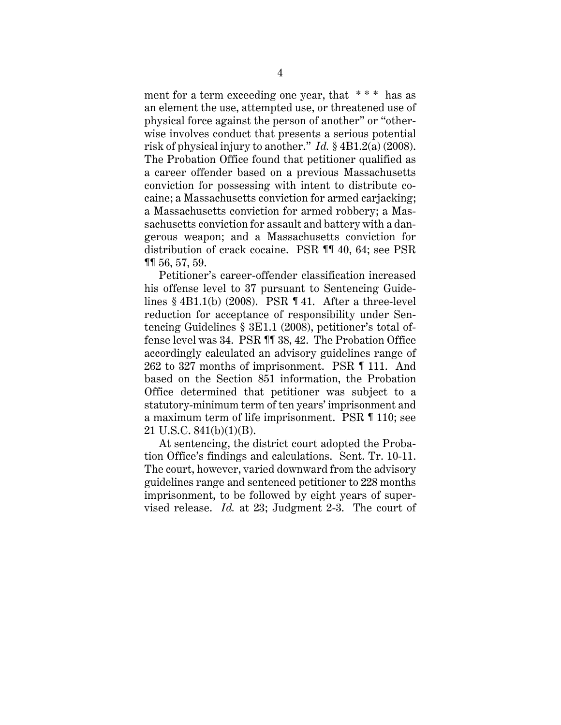ment for a term exceeding one year, that  $***$  has as an element the use, attempted use, or threatened use of physical force against the person of another" or "otherwise involves conduct that presents a serious potential risk of physical injury to another." *Id.* § 4B1.2(a) (2008). The Probation Office found that petitioner qualified as a career offender based on a previous Massachusetts conviction for possessing with intent to distribute cocaine; a Massachusetts conviction for armed carjacking; a Massachusetts conviction for armed robbery; a Massachusetts conviction for assault and battery with a dangerous weapon; and a Massachusetts conviction for distribution of crack cocaine. PSR ¶¶ 40, 64; see PSR ¶¶ 56, 57, 59.

Petitioner's career-offender classification increased his offense level to 37 pursuant to Sentencing Guidelines  $§$  4B1.1(b) (2008). PSR ¶ 41. After a three-level reduction for acceptance of responsibility under Sentencing Guidelines § 3E1.1 (2008), petitioner's total offense level was 34. PSR ¶¶ 38, 42. The Probation Office accordingly calculated an advisory guidelines range of 262 to 327 months of imprisonment. PSR ¶ 111. And based on the Section 851 information, the Probation Office determined that petitioner was subject to a statutory-minimum term of ten years' imprisonment and a maximum term of life imprisonment. PSR ¶ 110; see 21 U.S.C. 841(b)(1)(B).

At sentencing, the district court adopted the Probation Office's findings and calculations. Sent. Tr. 10-11. The court, however, varied downward from the advisory guidelines range and sentenced petitioner to 228 months imprisonment, to be followed by eight years of supervised release. *Id.* at 23; Judgment 2-3. The court of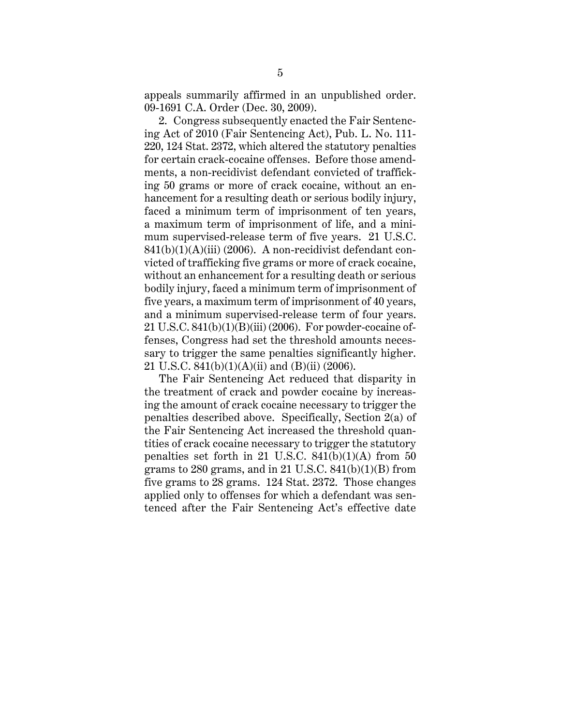appeals summarily affirmed in an unpublished order. 09-1691 C.A. Order (Dec. 30, 2009).

2. Congress subsequently enacted the Fair Sentencing Act of 2010 (Fair Sentencing Act), Pub. L. No. 111- 220, 124 Stat. 2372, which altered the statutory penalties for certain crack-cocaine offenses. Before those amendments, a non-recidivist defendant convicted of trafficking 50 grams or more of crack cocaine, without an enhancement for a resulting death or serious bodily injury, faced a minimum term of imprisonment of ten years, a maximum term of imprisonment of life, and a minimum supervised-release term of five years. 21 U.S.C. 841(b)(1)(A)(iii) (2006). A non-recidivist defendant convicted of trafficking five grams or more of crack cocaine, without an enhancement for a resulting death or serious bodily injury, faced a minimum term of imprisonment of five years, a maximum term of imprisonment of 40 years, and a minimum supervised-release term of four years. 21 U.S.C. 841(b)(1)(B)(iii) (2006). For powder-cocaine offenses, Congress had set the threshold amounts necessary to trigger the same penalties significantly higher. 21 U.S.C.  $841(b)(1)(A)(ii)$  and  $(B)(ii)$  (2006).

The Fair Sentencing Act reduced that disparity in the treatment of crack and powder cocaine by increasing the amount of crack cocaine necessary to trigger the penalties described above. Specifically, Section 2(a) of the Fair Sentencing Act increased the threshold quantities of crack cocaine necessary to trigger the statutory penalties set forth in 21 U.S.C.  $841(b)(1)(A)$  from 50 grams to 280 grams, and in 21 U.S.C.  $841(b)(1)(B)$  from five grams to 28 grams. 124 Stat. 2372. Those changes applied only to offenses for which a defendant was sentenced after the Fair Sentencing Act's effective date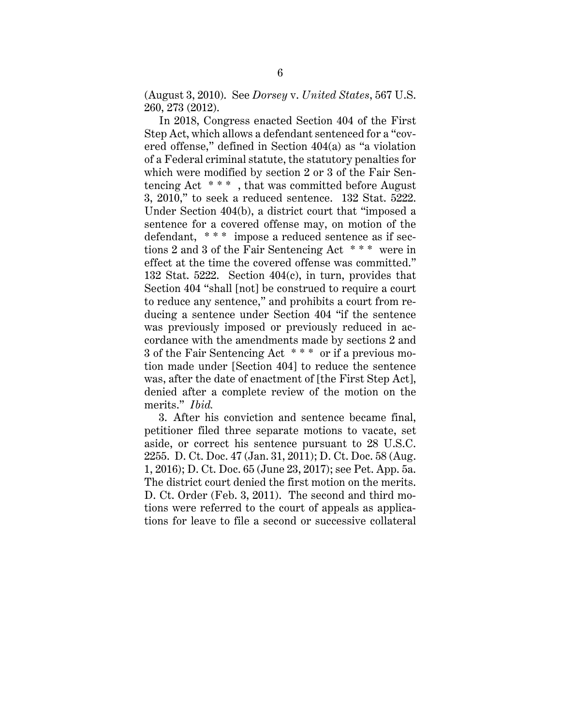(August 3, 2010). See *Dorsey* v. *United States*, 567 U.S. 260, 273 (2012).

In 2018, Congress enacted Section 404 of the First Step Act, which allows a defendant sentenced for a "covered offense," defined in Section 404(a) as "a violation of a Federal criminal statute, the statutory penalties for which were modified by section 2 or 3 of the Fair Sentencing Act \* \* \* , that was committed before August 3, 2010," to seek a reduced sentence. 132 Stat. 5222. Under Section 404(b), a district court that "imposed a sentence for a covered offense may, on motion of the defendant, \* \* \* impose a reduced sentence as if sections 2 and 3 of the Fair Sentencing Act \* \* \* were in effect at the time the covered offense was committed." 132 Stat. 5222. Section 404(c), in turn, provides that Section 404 "shall [not] be construed to require a court to reduce any sentence," and prohibits a court from reducing a sentence under Section 404 "if the sentence was previously imposed or previously reduced in accordance with the amendments made by sections 2 and 3 of the Fair Sentencing Act \* \* \* or if a previous motion made under [Section 404] to reduce the sentence was, after the date of enactment of [the First Step Act], denied after a complete review of the motion on the merits." *Ibid.*

3. After his conviction and sentence became final, petitioner filed three separate motions to vacate, set aside, or correct his sentence pursuant to 28 U.S.C. 2255. D. Ct. Doc. 47 (Jan. 31, 2011); D. Ct. Doc. 58 (Aug. 1, 2016); D. Ct. Doc. 65 (June 23, 2017); see Pet. App. 5a. The district court denied the first motion on the merits. D. Ct. Order (Feb. 3, 2011). The second and third motions were referred to the court of appeals as applications for leave to file a second or successive collateral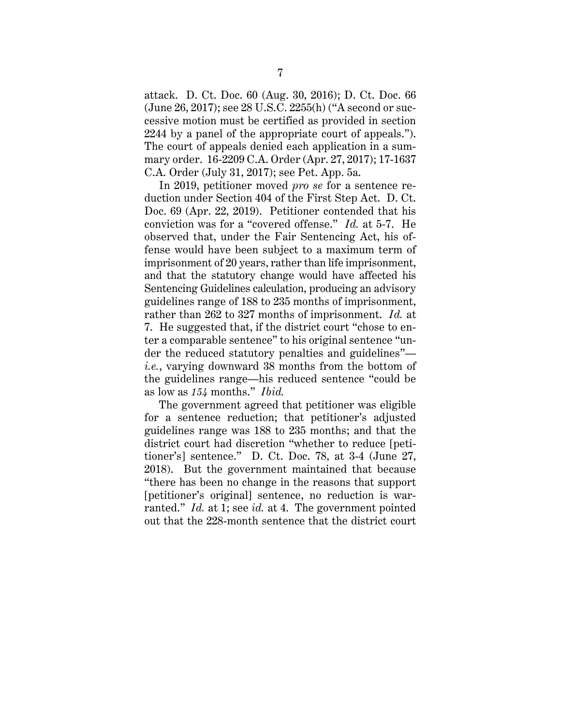attack. D. Ct. Doc. 60 (Aug. 30, 2016); D. Ct. Doc. 66 (June 26, 2017); see 28 U.S.C. 2255(h) ("A second or successive motion must be certified as provided in section 2244 by a panel of the appropriate court of appeals."). The court of appeals denied each application in a summary order. 16-2209 C.A. Order (Apr. 27, 2017); 17-1637 C.A. Order (July 31, 2017); see Pet. App. 5a.

In 2019, petitioner moved *pro se* for a sentence reduction under Section 404 of the First Step Act. D. Ct. Doc. 69 (Apr. 22, 2019). Petitioner contended that his conviction was for a "covered offense." *Id.* at 5-7. He observed that, under the Fair Sentencing Act, his offense would have been subject to a maximum term of imprisonment of 20 years, rather than life imprisonment, and that the statutory change would have affected his Sentencing Guidelines calculation, producing an advisory guidelines range of 188 to 235 months of imprisonment, rather than 262 to 327 months of imprisonment. *Id.* at 7. He suggested that, if the district court "chose to enter a comparable sentence" to his original sentence "under the reduced statutory penalties and guidelines" *i.e.*, varying downward 38 months from the bottom of the guidelines range—his reduced sentence "could be as low as *154* months." *Ibid.*

The government agreed that petitioner was eligible for a sentence reduction; that petitioner's adjusted guidelines range was 188 to 235 months; and that the district court had discretion "whether to reduce [petitioner's] sentence." D. Ct. Doc. 78, at 3-4 (June 27, 2018). But the government maintained that because "there has been no change in the reasons that support [petitioner's original] sentence, no reduction is warranted." *Id.* at 1; see *id.* at 4. The government pointed out that the 228-month sentence that the district court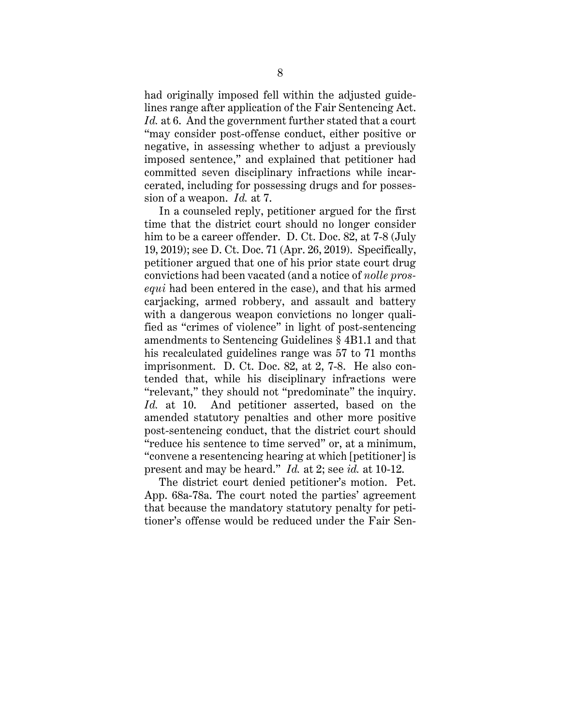had originally imposed fell within the adjusted guidelines range after application of the Fair Sentencing Act. *Id.* at 6. And the government further stated that a court "may consider post-offense conduct, either positive or negative, in assessing whether to adjust a previously imposed sentence," and explained that petitioner had committed seven disciplinary infractions while incarcerated, including for possessing drugs and for possession of a weapon. *Id.* at 7.

In a counseled reply, petitioner argued for the first time that the district court should no longer consider him to be a career offender. D. Ct. Doc. 82, at 7-8 (July 19, 2019); see D. Ct. Doc. 71 (Apr. 26, 2019). Specifically, petitioner argued that one of his prior state court drug convictions had been vacated (and a notice of *nolle prosequi* had been entered in the case), and that his armed carjacking, armed robbery, and assault and battery with a dangerous weapon convictions no longer qualified as "crimes of violence" in light of post-sentencing amendments to Sentencing Guidelines § 4B1.1 and that his recalculated guidelines range was 57 to 71 months imprisonment. D. Ct. Doc. 82, at 2, 7-8. He also contended that, while his disciplinary infractions were "relevant," they should not "predominate" the inquiry. *Id.* at 10. And petitioner asserted, based on the amended statutory penalties and other more positive post-sentencing conduct, that the district court should "reduce his sentence to time served" or, at a minimum, "convene a resentencing hearing at which [petitioner] is present and may be heard." *Id.* at 2; see *id.* at 10-12.

The district court denied petitioner's motion. Pet. App. 68a-78a. The court noted the parties' agreement that because the mandatory statutory penalty for petitioner's offense would be reduced under the Fair Sen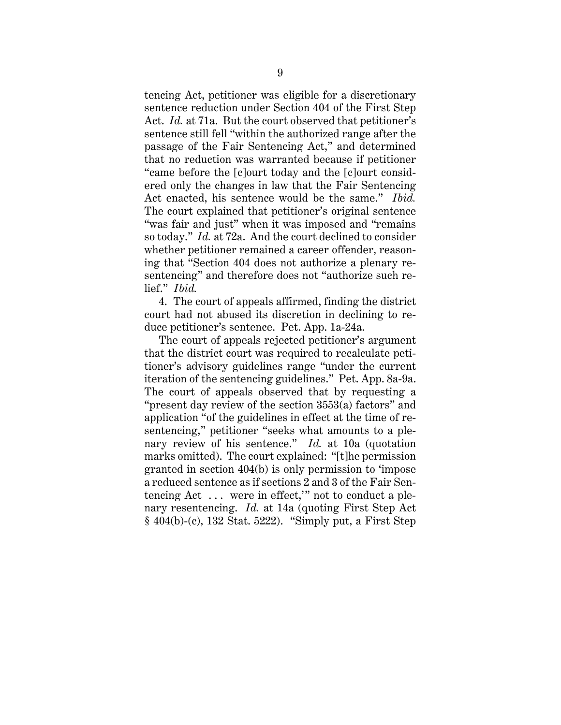tencing Act, petitioner was eligible for a discretionary sentence reduction under Section 404 of the First Step Act. *Id.* at 71a. But the court observed that petitioner's sentence still fell "within the authorized range after the passage of the Fair Sentencing Act," and determined that no reduction was warranted because if petitioner "came before the [c]ourt today and the [c]ourt considered only the changes in law that the Fair Sentencing Act enacted, his sentence would be the same." *Ibid.* The court explained that petitioner's original sentence "was fair and just" when it was imposed and "remains so today." *Id.* at 72a. And the court declined to consider whether petitioner remained a career offender, reasoning that "Section 404 does not authorize a plenary resentencing" and therefore does not "authorize such relief." *Ibid.*

4. The court of appeals affirmed, finding the district court had not abused its discretion in declining to reduce petitioner's sentence. Pet. App. 1a-24a.

The court of appeals rejected petitioner's argument that the district court was required to recalculate petitioner's advisory guidelines range "under the current iteration of the sentencing guidelines." Pet. App. 8a-9a. The court of appeals observed that by requesting a "present day review of the section 3553(a) factors" and application "of the guidelines in effect at the time of resentencing," petitioner "seeks what amounts to a plenary review of his sentence." *Id.* at 10a (quotation marks omitted). The court explained: "[t]he permission granted in section 404(b) is only permission to 'impose a reduced sentence as if sections 2 and 3 of the Fair Sentencing Act  $\dots$  were in effect," not to conduct a plenary resentencing. *Id.* at 14a (quoting First Step Act § 404(b)-(c), 132 Stat. 5222). "Simply put, a First Step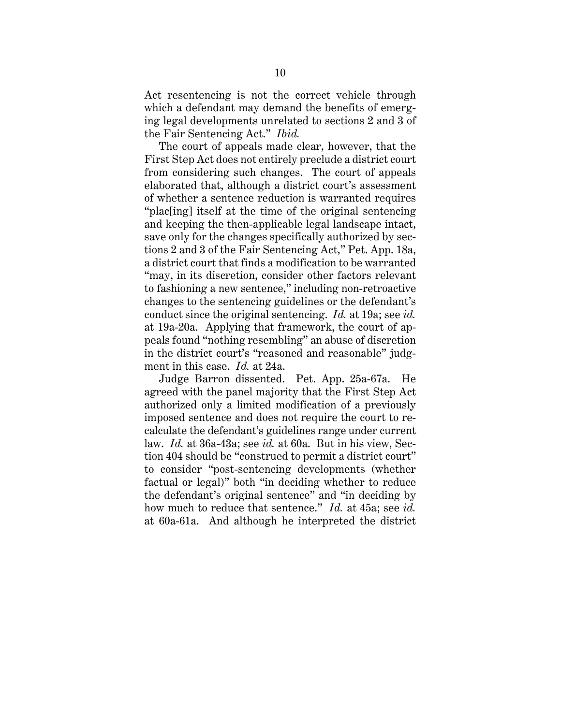Act resentencing is not the correct vehicle through which a defendant may demand the benefits of emerging legal developments unrelated to sections 2 and 3 of the Fair Sentencing Act." *Ibid.*

The court of appeals made clear, however, that the First Step Act does not entirely preclude a district court from considering such changes. The court of appeals elaborated that, although a district court's assessment of whether a sentence reduction is warranted requires "plac[ing] itself at the time of the original sentencing and keeping the then-applicable legal landscape intact, save only for the changes specifically authorized by sections 2 and 3 of the Fair Sentencing Act," Pet. App. 18a, a district court that finds a modification to be warranted "may, in its discretion, consider other factors relevant to fashioning a new sentence," including non-retroactive changes to the sentencing guidelines or the defendant's conduct since the original sentencing. *Id.* at 19a; see *id.* at 19a-20a. Applying that framework, the court of appeals found "nothing resembling" an abuse of discretion in the district court's "reasoned and reasonable" judgment in this case. *Id.* at 24a.

Judge Barron dissented. Pet. App. 25a-67a. He agreed with the panel majority that the First Step Act authorized only a limited modification of a previously imposed sentence and does not require the court to recalculate the defendant's guidelines range under current law. *Id.* at 36a-43a; see *id.* at 60a. But in his view, Section 404 should be "construed to permit a district court" to consider "post-sentencing developments (whether factual or legal)" both "in deciding whether to reduce the defendant's original sentence" and "in deciding by how much to reduce that sentence." *Id.* at 45a; see *id.* at 60a-61a. And although he interpreted the district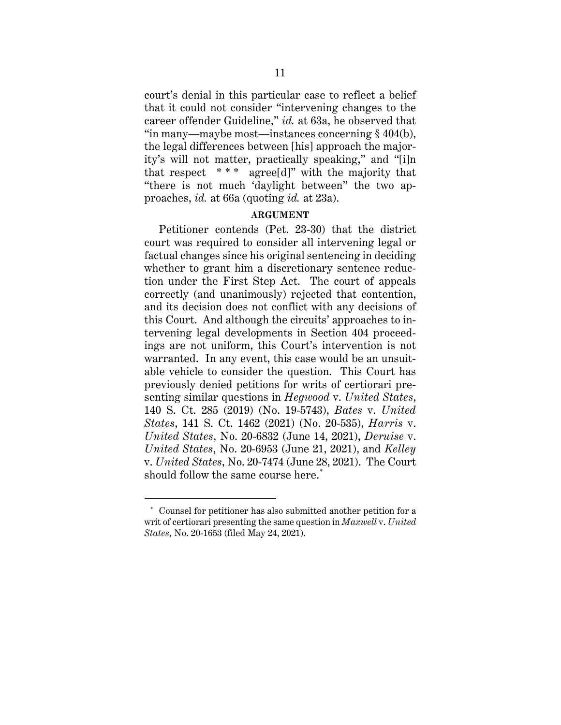court's denial in this particular case to reflect a belief that it could not consider "intervening changes to the career offender Guideline," *id.* at 63a, he observed that "in many—maybe most—instances concerning § 404(b), the legal differences between [his] approach the majority's will not matter, practically speaking," and "[i]n that respect  $***$  agree[d]" with the majority that "there is not much 'daylight between" the two approaches, *id.* at 66a (quoting *id.* at 23a).

### **ARGUMENT**

Petitioner contends (Pet. 23-30) that the district court was required to consider all intervening legal or factual changes since his original sentencing in deciding whether to grant him a discretionary sentence reduction under the First Step Act. The court of appeals correctly (and unanimously) rejected that contention, and its decision does not conflict with any decisions of this Court. And although the circuits' approaches to intervening legal developments in Section 404 proceedings are not uniform, this Court's intervention is not warranted. In any event, this case would be an unsuitable vehicle to consider the question. This Court has previously denied petitions for writs of certiorari presenting similar questions in *Hegwood* v. *United States*, 140 S. Ct. 285 (2019) (No. 19-5743), *Bates* v. *United States*, 141 S. Ct. 1462 (2021) (No. 20-535), *Harris* v. *United States*, No. 20-6832 (June 14, 2021), *Deruise* v. *United States*, No. 20-6953 (June 21, 2021), and *Kelley* v. *United States*, No. 20-7474 (June 28, 2021). The Court should follow the same course here.<sup>\*</sup>

<sup>\*</sup> Counsel for petitioner has also submitted another petition for a writ of certiorari presenting the same question in *Maxwell* v. *United States*, No. 20-1653 (filed May 24, 2021).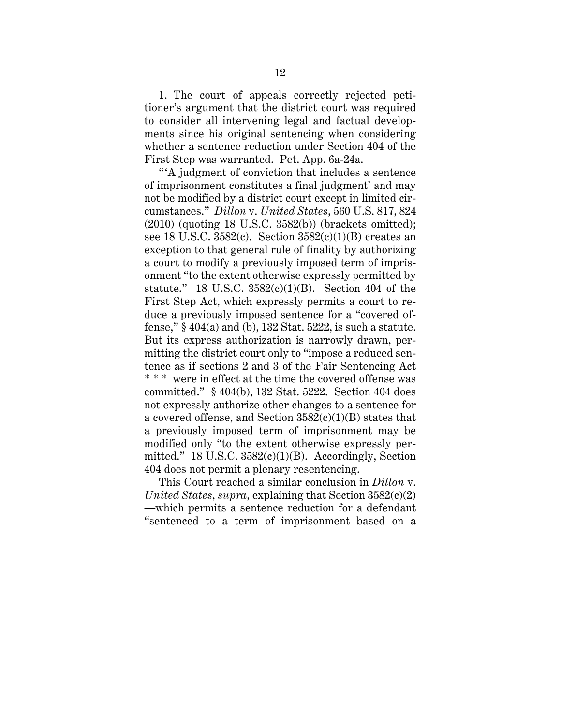1. The court of appeals correctly rejected petitioner's argument that the district court was required to consider all intervening legal and factual developments since his original sentencing when considering whether a sentence reduction under Section 404 of the First Step was warranted. Pet. App. 6a-24a.

" 'A judgment of conviction that includes a sentence of imprisonment constitutes a final judgment' and may not be modified by a district court except in limited circumstances." *Dillon* v. *United States*, 560 U.S. 817, 824 (2010) (quoting 18 U.S.C. 3582(b)) (brackets omitted); see 18 U.S.C.  $3582(c)$ . Section  $3582(c)(1)(B)$  creates an exception to that general rule of finality by authorizing a court to modify a previously imposed term of imprisonment "to the extent otherwise expressly permitted by statute." 18 U.S.C.  $3582(c)(1)(B)$ . Section 404 of the First Step Act, which expressly permits a court to reduce a previously imposed sentence for a "covered offense," § 404(a) and (b), 132 Stat. 5222, is such a statute. But its express authorization is narrowly drawn, permitting the district court only to "impose a reduced sentence as if sections 2 and 3 of the Fair Sentencing Act \* \* \* were in effect at the time the covered offense was committed." § 404(b), 132 Stat. 5222. Section 404 does not expressly authorize other changes to a sentence for a covered offense, and Section  $3582(c)(1)(B)$  states that a previously imposed term of imprisonment may be modified only "to the extent otherwise expressly permitted." 18 U.S.C.  $3582(c)(1)(B)$ . Accordingly, Section 404 does not permit a plenary resentencing.

This Court reached a similar conclusion in *Dillon* v. *United States*, *supra*, explaining that Section 3582(c)(2) —which permits a sentence reduction for a defendant "sentenced to a term of imprisonment based on a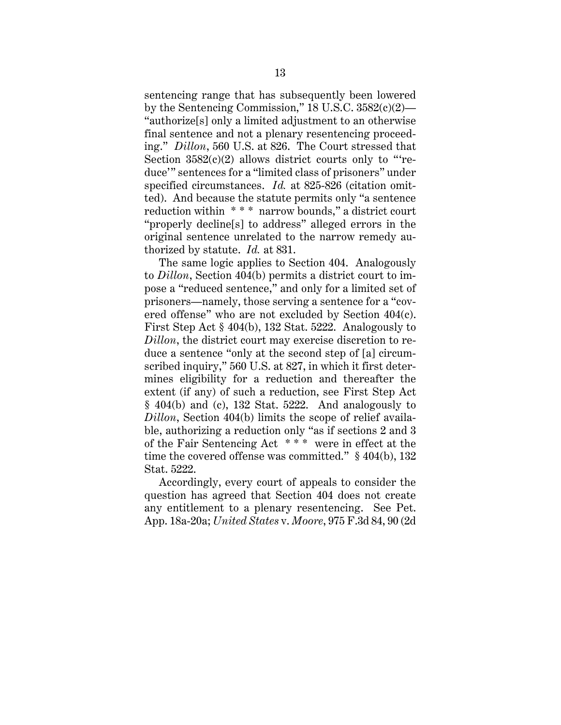sentencing range that has subsequently been lowered by the Sentencing Commission,"  $18$  U.S.C.  $3582(c)(2)$ — "authorize[s] only a limited adjustment to an otherwise final sentence and not a plenary resentencing proceeding." *Dillon*, 560 U.S. at 826. The Court stressed that Section  $3582(c)(2)$  allows district courts only to "reduce'" sentences for a "limited class of prisoners" under specified circumstances. *Id.* at 825-826 (citation omitted). And because the statute permits only "a sentence reduction within \* \* \* narrow bounds," a district court "properly decline[s] to address" alleged errors in the original sentence unrelated to the narrow remedy authorized by statute. *Id.* at 831.

The same logic applies to Section 404. Analogously to *Dillon*, Section 404(b) permits a district court to impose a "reduced sentence," and only for a limited set of prisoners—namely, those serving a sentence for a "covered offense" who are not excluded by Section 404(c). First Step Act § 404(b), 132 Stat. 5222. Analogously to *Dillon*, the district court may exercise discretion to reduce a sentence "only at the second step of [a] circumscribed inquiry," 560 U.S. at 827, in which it first determines eligibility for a reduction and thereafter the extent (if any) of such a reduction, see First Step Act  $§$  404(b) and (c), 132 Stat. 5222. And analogously to *Dillon*, Section 404(b) limits the scope of relief available, authorizing a reduction only "as if sections 2 and 3 of the Fair Sentencing Act \* \* \* were in effect at the time the covered offense was committed." § 404(b), 132 Stat. 5222.

Accordingly, every court of appeals to consider the question has agreed that Section 404 does not create any entitlement to a plenary resentencing. See Pet. App. 18a-20a; *United States* v. *Moore*, 975 F.3d 84, 90 (2d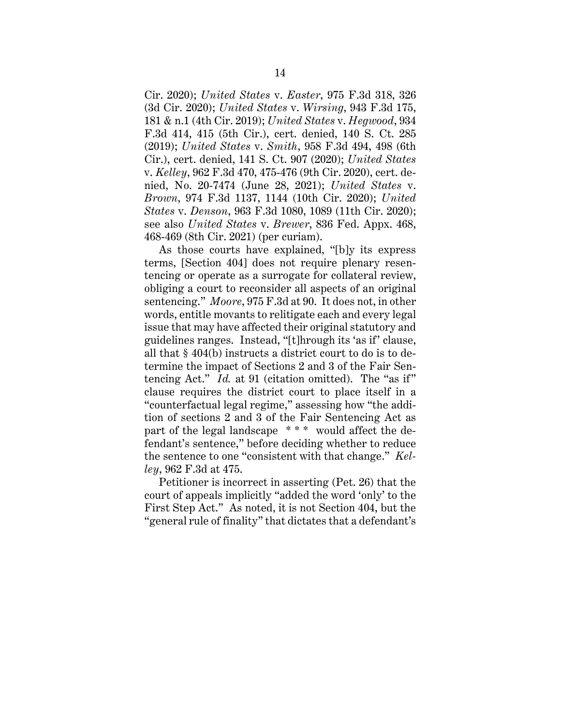Cir. 2020); *United States* v. *Easter*, 975 F.3d 318, 326 (3d Cir. 2020); *United States* v. *Wirsing*, 943 F.3d 175, 181 & n.1 (4th Cir. 2019); *United States* v. *Hegwood*, 934 F.3d 414, 415 (5th Cir.), cert. denied, 140 S. Ct. 285 (2019); *United States* v. *Smith*, 958 F.3d 494, 498 (6th Cir.), cert. denied, 141 S. Ct. 907 (2020); *United States* v. *Kelley*, 962 F.3d 470, 475-476 (9th Cir. 2020), cert. denied, No. 20-7474 (June 28, 2021); *United States* v. *Brown*, 974 F.3d 1137, 1144 (10th Cir. 2020); *United States* v. *Denson*, 963 F.3d 1080, 1089 (11th Cir. 2020); see also *United States* v. *Brewer*, 836 Fed. Appx. 468, 468-469 (8th Cir. 2021) (per curiam).

As those courts have explained, "[b]y its express terms, [Section 404] does not require plenary resentencing or operate as a surrogate for collateral review, obliging a court to reconsider all aspects of an original sentencing." *Moore*, 975 F.3d at 90. It does not, in other words, entitle movants to relitigate each and every legal issue that may have affected their original statutory and guidelines ranges. Instead, "[t]hrough its 'as if' clause, all that § 404(b) instructs a district court to do is to determine the impact of Sections 2 and 3 of the Fair Sentencing Act." *Id.* at 91 (citation omitted). The "as if" clause requires the district court to place itself in a "counterfactual legal regime," assessing how "the addition of sections 2 and 3 of the Fair Sentencing Act as part of the legal landscape \* \* \* would affect the defendant's sentence," before deciding whether to reduce the sentence to one "consistent with that change." *Kelley*, 962 F.3d at 475.

Petitioner is incorrect in asserting (Pet. 26) that the court of appeals implicitly "added the word 'only' to the First Step Act." As noted, it is not Section 404, but the "general rule of finality" that dictates that a defendant's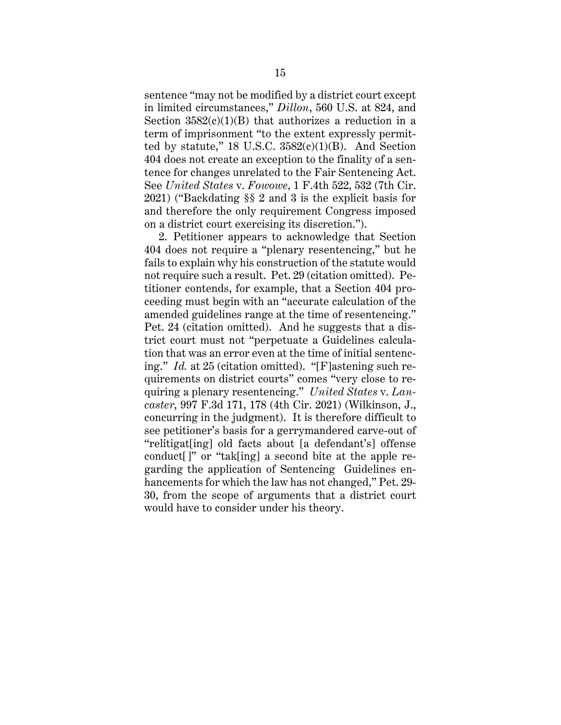sentence "may not be modified by a district court except in limited circumstances," *Dillon*, 560 U.S. at 824, and Section  $3582(c)(1)(B)$  that authorizes a reduction in a term of imprisonment "to the extent expressly permitted by statute,"  $18$  U.S.C.  $3582(c)(1)(B)$ . And Section 404 does not create an exception to the finality of a sentence for changes unrelated to the Fair Sentencing Act. See *United States* v. *Fowowe*, 1 F.4th 522, 532 (7th Cir. 2021) ("Backdating §§ 2 and 3 is the explicit basis for and therefore the only requirement Congress imposed on a district court exercising its discretion.").

2. Petitioner appears to acknowledge that Section 404 does not require a "plenary resentencing," but he fails to explain why his construction of the statute would not require such a result. Pet. 29 (citation omitted). Petitioner contends, for example, that a Section 404 proceeding must begin with an "accurate calculation of the amended guidelines range at the time of resentencing." Pet. 24 (citation omitted). And he suggests that a district court must not "perpetuate a Guidelines calculation that was an error even at the time of initial sentencing." *Id.* at 25 (citation omitted). "[F]astening such requirements on district courts" comes "very close to requiring a plenary resentencing." *United States* v. *Lancaster*, 997 F.3d 171, 178 (4th Cir. 2021) (Wilkinson, J., concurring in the judgment). It is therefore difficult to see petitioner's basis for a gerrymandered carve-out of "relitigat[ing] old facts about [a defendant's] offense conduct[]" or "tak[ing] a second bite at the apple regarding the application of Sentencing Guidelines enhancements for which the law has not changed," Pet. 29- 30, from the scope of arguments that a district court would have to consider under his theory.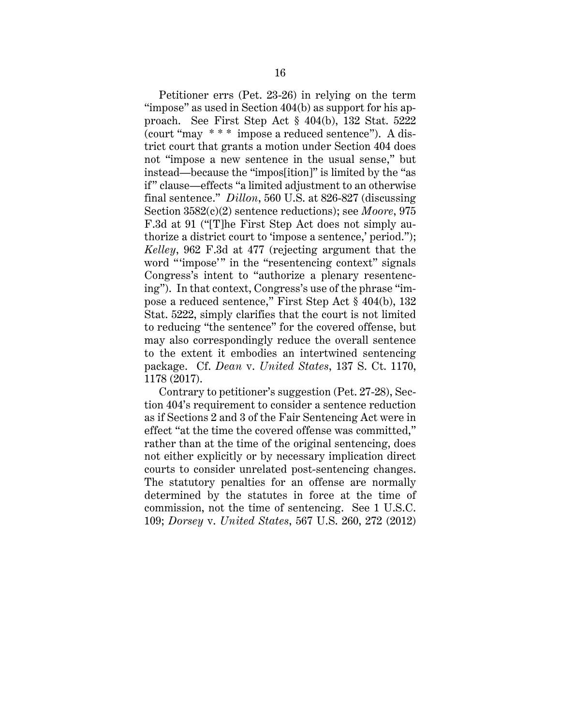Petitioner errs (Pet. 23-26) in relying on the term "impose" as used in Section 404(b) as support for his approach. See First Step Act § 404(b), 132 Stat. 5222 (court "may \* \* \* impose a reduced sentence"). A district court that grants a motion under Section 404 does not "impose a new sentence in the usual sense," but instead—because the "impos[ition]" is limited by the "as if" clause—effects "a limited adjustment to an otherwise final sentence." *Dillon*, 560 U.S. at 826-827 (discussing Section 3582(c)(2) sentence reductions); see *Moore*, 975 F.3d at 91 ("[T]he First Step Act does not simply authorize a district court to 'impose a sentence,' period."); *Kelley*, 962 F.3d at 477 (rejecting argument that the word "'impose'" in the "resentencing context" signals Congress's intent to "authorize a plenary resentencing"). In that context, Congress's use of the phrase "impose a reduced sentence," First Step Act § 404(b), 132 Stat. 5222, simply clarifies that the court is not limited to reducing "the sentence" for the covered offense, but may also correspondingly reduce the overall sentence to the extent it embodies an intertwined sentencing package. Cf. *Dean* v. *United States*, 137 S. Ct. 1170, 1178 (2017).

Contrary to petitioner's suggestion (Pet. 27-28), Section 404's requirement to consider a sentence reduction as if Sections 2 and 3 of the Fair Sentencing Act were in effect "at the time the covered offense was committed," rather than at the time of the original sentencing, does not either explicitly or by necessary implication direct courts to consider unrelated post-sentencing changes. The statutory penalties for an offense are normally determined by the statutes in force at the time of commission, not the time of sentencing. See 1 U.S.C. 109; *Dorsey* v. *United States*, 567 U.S. 260, 272 (2012)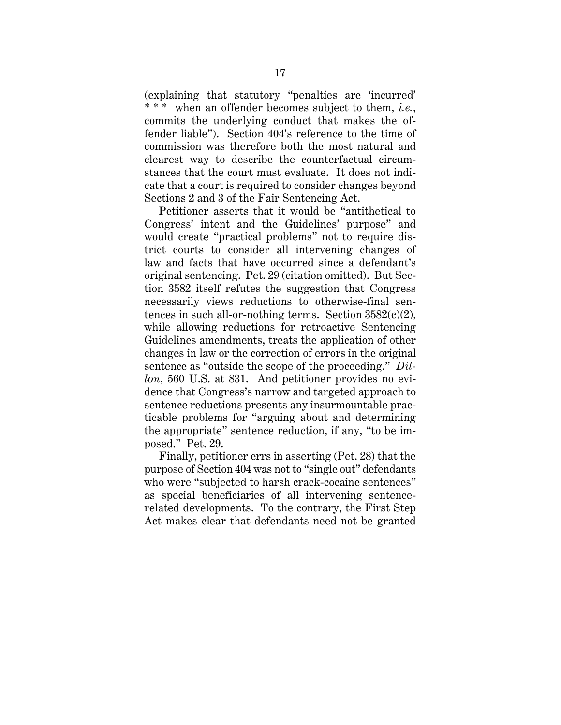(explaining that statutory "penalties are 'incurred' \* \* \* when an offender becomes subject to them, *i.e.*, commits the underlying conduct that makes the offender liable"). Section 404's reference to the time of commission was therefore both the most natural and clearest way to describe the counterfactual circumstances that the court must evaluate. It does not indicate that a court is required to consider changes beyond Sections 2 and 3 of the Fair Sentencing Act.

Petitioner asserts that it would be "antithetical to Congress' intent and the Guidelines' purpose" and would create "practical problems" not to require district courts to consider all intervening changes of law and facts that have occurred since a defendant's original sentencing. Pet. 29 (citation omitted). But Section 3582 itself refutes the suggestion that Congress necessarily views reductions to otherwise-final sentences in such all-or-nothing terms. Section  $3582(c)(2)$ , while allowing reductions for retroactive Sentencing Guidelines amendments, treats the application of other changes in law or the correction of errors in the original sentence as "outside the scope of the proceeding." *Dillon*, 560 U.S. at 831. And petitioner provides no evidence that Congress's narrow and targeted approach to sentence reductions presents any insurmountable practicable problems for "arguing about and determining the appropriate" sentence reduction, if any, "to be imposed." Pet. 29.

Finally, petitioner errs in asserting (Pet. 28) that the purpose of Section 404 was not to "single out" defendants who were "subjected to harsh crack-cocaine sentences" as special beneficiaries of all intervening sentencerelated developments. To the contrary, the First Step Act makes clear that defendants need not be granted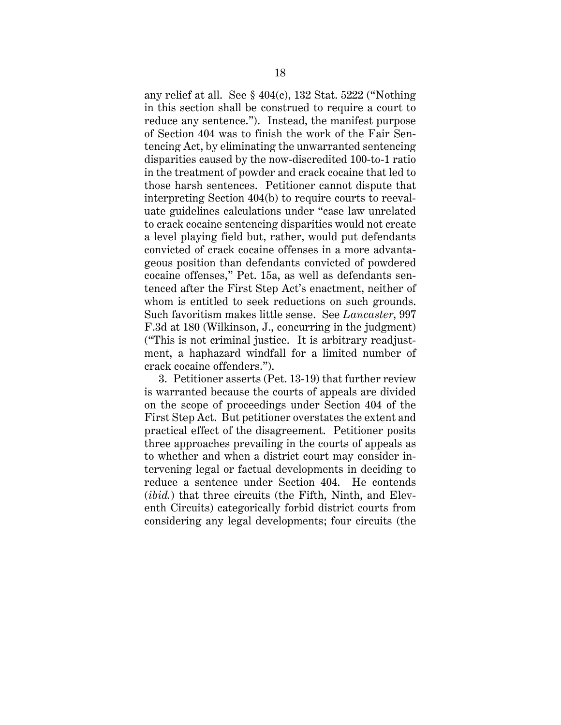any relief at all. See § 404(c), 132 Stat. 5222 ("Nothing in this section shall be construed to require a court to reduce any sentence."). Instead, the manifest purpose of Section 404 was to finish the work of the Fair Sentencing Act, by eliminating the unwarranted sentencing disparities caused by the now-discredited 100-to-1 ratio in the treatment of powder and crack cocaine that led to those harsh sentences. Petitioner cannot dispute that interpreting Section 404(b) to require courts to reevaluate guidelines calculations under "case law unrelated to crack cocaine sentencing disparities would not create a level playing field but, rather, would put defendants convicted of crack cocaine offenses in a more advantageous position than defendants convicted of powdered cocaine offenses," Pet. 15a, as well as defendants sentenced after the First Step Act's enactment, neither of whom is entitled to seek reductions on such grounds. Such favoritism makes little sense. See *Lancaster*, 997 F.3d at 180 (Wilkinson, J., concurring in the judgment) ("This is not criminal justice. It is arbitrary readjustment, a haphazard windfall for a limited number of crack cocaine offenders.").

3. Petitioner asserts (Pet. 13-19) that further review is warranted because the courts of appeals are divided on the scope of proceedings under Section 404 of the First Step Act. But petitioner overstates the extent and practical effect of the disagreement. Petitioner posits three approaches prevailing in the courts of appeals as to whether and when a district court may consider intervening legal or factual developments in deciding to reduce a sentence under Section 404. He contends (*ibid.*) that three circuits (the Fifth, Ninth, and Eleventh Circuits) categorically forbid district courts from considering any legal developments; four circuits (the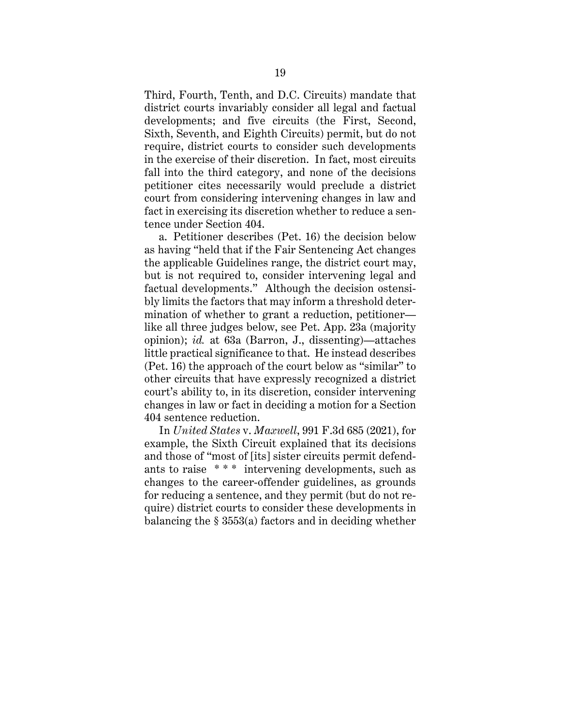Third, Fourth, Tenth, and D.C. Circuits) mandate that district courts invariably consider all legal and factual developments; and five circuits (the First, Second, Sixth, Seventh, and Eighth Circuits) permit, but do not require, district courts to consider such developments in the exercise of their discretion. In fact, most circuits fall into the third category, and none of the decisions petitioner cites necessarily would preclude a district court from considering intervening changes in law and fact in exercising its discretion whether to reduce a sentence under Section 404.

a. Petitioner describes (Pet. 16) the decision below as having "held that if the Fair Sentencing Act changes the applicable Guidelines range, the district court may, but is not required to, consider intervening legal and factual developments." Although the decision ostensibly limits the factors that may inform a threshold determination of whether to grant a reduction, petitioner like all three judges below, see Pet. App. 23a (majority opinion); *id.* at 63a (Barron, J., dissenting)—attaches little practical significance to that. He instead describes (Pet. 16) the approach of the court below as "similar" to other circuits that have expressly recognized a district court's ability to, in its discretion, consider intervening changes in law or fact in deciding a motion for a Section 404 sentence reduction.

In *United States* v. *Maxwell*, 991 F.3d 685 (2021), for example, the Sixth Circuit explained that its decisions and those of "most of [its] sister circuits permit defendants to raise \* \* \* intervening developments, such as changes to the career-offender guidelines, as grounds for reducing a sentence, and they permit (but do not require) district courts to consider these developments in balancing the § 3553(a) factors and in deciding whether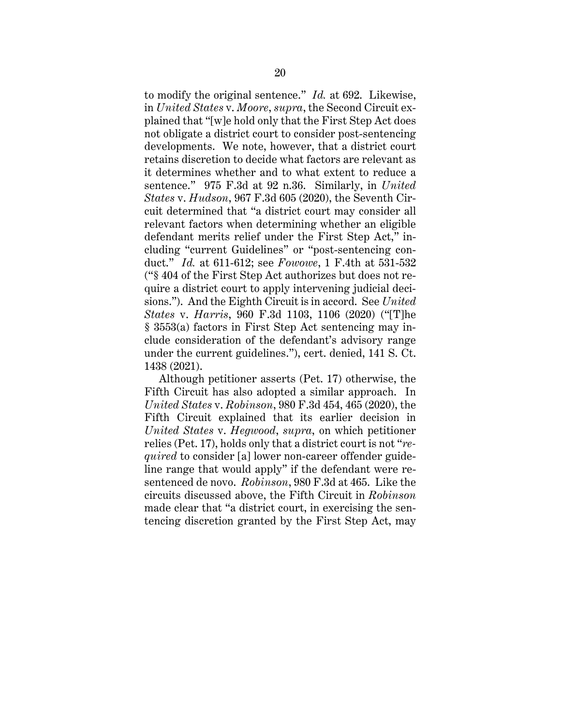to modify the original sentence." *Id.* at 692. Likewise, in *United States* v. *Moore*, *supra*, the Second Circuit explained that "[w]e hold only that the First Step Act does not obligate a district court to consider post-sentencing developments. We note, however, that a district court retains discretion to decide what factors are relevant as it determines whether and to what extent to reduce a sentence." 975 F.3d at 92 n.36. Similarly, in *United States* v. *Hudson*, 967 F.3d 605 (2020), the Seventh Circuit determined that "a district court may consider all relevant factors when determining whether an eligible defendant merits relief under the First Step Act," including "current Guidelines" or "post-sentencing conduct." *Id.* at 611-612; see *Fowowe*, 1 F.4th at 531-532 ("§ 404 of the First Step Act authorizes but does not require a district court to apply intervening judicial decisions."). And the Eighth Circuit is in accord. See *United States* v. *Harris*, 960 F.3d 1103, 1106 (2020) ("[T]he § 3553(a) factors in First Step Act sentencing may include consideration of the defendant's advisory range under the current guidelines."), cert. denied, 141 S. Ct. 1438 (2021).

Although petitioner asserts (Pet. 17) otherwise, the Fifth Circuit has also adopted a similar approach. In *United States* v. *Robinson*, 980 F.3d 454, 465 (2020), the Fifth Circuit explained that its earlier decision in *United States* v. *Hegwood*, *supra*, on which petitioner relies (Pet. 17), holds only that a district court is not "*required* to consider [a] lower non-career offender guideline range that would apply" if the defendant were resentenced de novo. *Robinson*, 980 F.3d at 465. Like the circuits discussed above, the Fifth Circuit in *Robinson* made clear that "a district court, in exercising the sentencing discretion granted by the First Step Act, may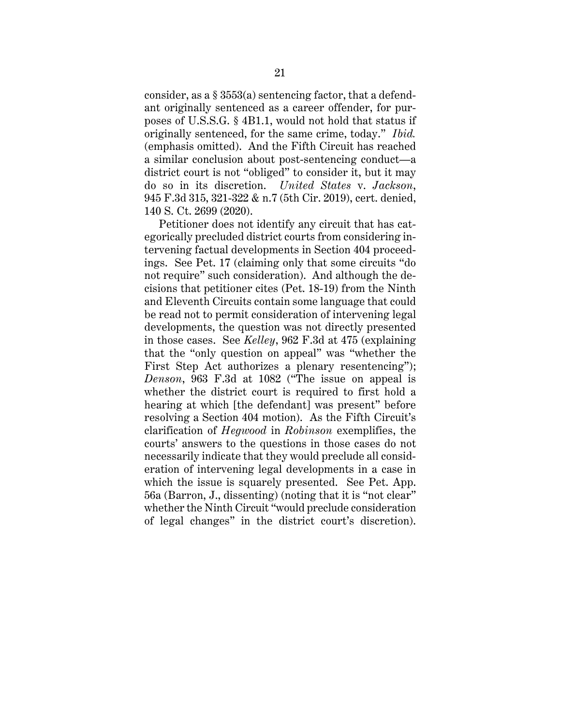consider, as a § 3553(a) sentencing factor, that a defendant originally sentenced as a career offender, for purposes of U.S.S.G. § 4B1.1, would not hold that status if originally sentenced, for the same crime, today." *Ibid.* (emphasis omitted). And the Fifth Circuit has reached a similar conclusion about post-sentencing conduct—a district court is not "obliged" to consider it, but it may do so in its discretion. *United States* v. *Jackson*, 945 F.3d 315, 321-322 & n.7 (5th Cir. 2019), cert. denied, 140 S. Ct. 2699 (2020).

Petitioner does not identify any circuit that has categorically precluded district courts from considering intervening factual developments in Section 404 proceedings. See Pet. 17 (claiming only that some circuits "do not require" such consideration). And although the decisions that petitioner cites (Pet. 18-19) from the Ninth and Eleventh Circuits contain some language that could be read not to permit consideration of intervening legal developments, the question was not directly presented in those cases. See *Kelley*, 962 F.3d at 475 (explaining that the "only question on appeal" was "whether the First Step Act authorizes a plenary resentencing"); *Denson*, 963 F.3d at 1082 ("The issue on appeal is whether the district court is required to first hold a hearing at which [the defendant] was present" before resolving a Section 404 motion). As the Fifth Circuit's clarification of *Hegwood* in *Robinson* exemplifies, the courts' answers to the questions in those cases do not necessarily indicate that they would preclude all consideration of intervening legal developments in a case in which the issue is squarely presented. See Pet. App. 56a (Barron, J., dissenting) (noting that it is "not clear" whether the Ninth Circuit "would preclude consideration of legal changes" in the district court's discretion).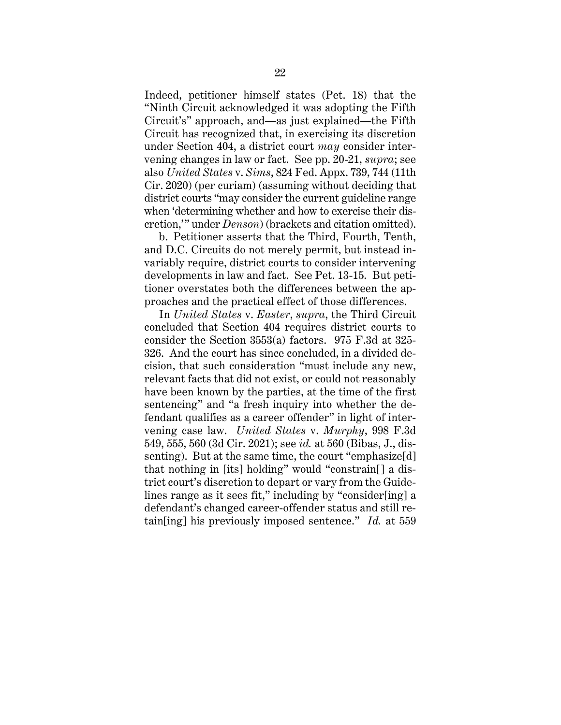Indeed, petitioner himself states (Pet. 18) that the "Ninth Circuit acknowledged it was adopting the Fifth Circuit's" approach, and—as just explained—the Fifth Circuit has recognized that, in exercising its discretion under Section 404, a district court *may* consider intervening changes in law or fact. See pp. 20-21, *supra*; see also *United States* v. *Sims*, 824 Fed. Appx. 739, 744 (11th Cir. 2020) (per curiam) (assuming without deciding that district courts "may consider the current guideline range when 'determining whether and how to exercise their discretion,'" under *Denson*) (brackets and citation omitted).

b. Petitioner asserts that the Third, Fourth, Tenth, and D.C. Circuits do not merely permit, but instead invariably require, district courts to consider intervening developments in law and fact. See Pet. 13-15. But petitioner overstates both the differences between the approaches and the practical effect of those differences.

In *United States* v. *Easter*, *supra*, the Third Circuit concluded that Section 404 requires district courts to consider the Section 3553(a) factors. 975 F.3d at 325- 326. And the court has since concluded, in a divided decision, that such consideration "must include any new, relevant facts that did not exist, or could not reasonably have been known by the parties, at the time of the first sentencing" and "a fresh inquiry into whether the defendant qualifies as a career offender" in light of intervening case law. *United States* v. *Murphy*, 998 F.3d 549, 555, 560 (3d Cir. 2021); see *id.* at 560 (Bibas, J., dissenting). But at the same time, the court "emphasize[d] that nothing in [its] holding" would "constrain[] a district court's discretion to depart or vary from the Guidelines range as it sees fit," including by "consider[ing] a defendant's changed career-offender status and still retain[ing] his previously imposed sentence." *Id.* at 559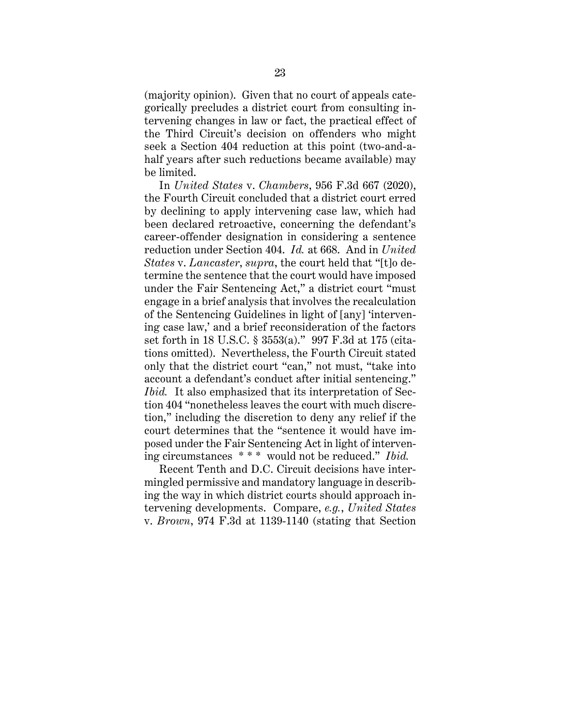(majority opinion). Given that no court of appeals categorically precludes a district court from consulting intervening changes in law or fact, the practical effect of the Third Circuit's decision on offenders who might seek a Section 404 reduction at this point (two-and-ahalf years after such reductions became available) may be limited.

In *United States* v. *Chambers*, 956 F.3d 667 (2020), the Fourth Circuit concluded that a district court erred by declining to apply intervening case law, which had been declared retroactive, concerning the defendant's career-offender designation in considering a sentence reduction under Section 404. *Id.* at 668. And in *United States* v. *Lancaster*, *supra*, the court held that "[t]o determine the sentence that the court would have imposed under the Fair Sentencing Act," a district court "must engage in a brief analysis that involves the recalculation of the Sentencing Guidelines in light of [any] 'intervening case law,' and a brief reconsideration of the factors set forth in 18 U.S.C. § 3553(a)." 997 F.3d at 175 (citations omitted). Nevertheless, the Fourth Circuit stated only that the district court "can," not must, "take into account a defendant's conduct after initial sentencing." *Ibid.* It also emphasized that its interpretation of Section 404 "nonetheless leaves the court with much discretion," including the discretion to deny any relief if the court determines that the "sentence it would have imposed under the Fair Sentencing Act in light of intervening circumstances \* \* \* would not be reduced." *Ibid.*

Recent Tenth and D.C. Circuit decisions have intermingled permissive and mandatory language in describing the way in which district courts should approach intervening developments. Compare, *e.g.*, *United States*  v. *Brown*, 974 F.3d at 1139-1140 (stating that Section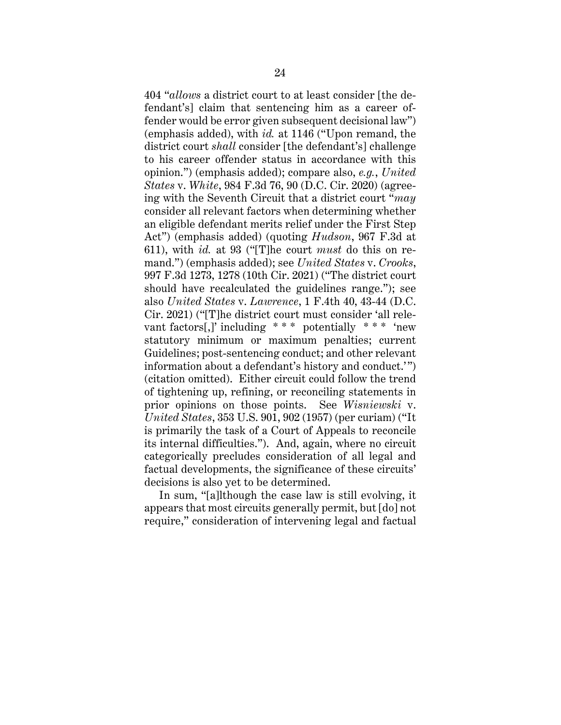404 "*allows* a district court to at least consider [the defendant's] claim that sentencing him as a career offender would be error given subsequent decisional law") (emphasis added), with *id.* at 1146 ("Upon remand, the district court *shall* consider [the defendant's] challenge to his career offender status in accordance with this opinion.") (emphasis added); compare also, *e.g.*, *United States* v. *White*, 984 F.3d 76, 90 (D.C. Cir. 2020) (agreeing with the Seventh Circuit that a district court "*may* consider all relevant factors when determining whether an eligible defendant merits relief under the First Step Act") (emphasis added) (quoting *Hudson*, 967 F.3d at 611), with *id.* at 93 ("[T]he court *must* do this on remand.") (emphasis added); see *United States* v. *Crooks*, 997 F.3d 1273, 1278 (10th Cir. 2021) ("The district court should have recalculated the guidelines range."); see also *United States* v. *Lawrence*, 1 F.4th 40, 43-44 (D.C. Cir. 2021) ("[T]he district court must consider 'all relevant factors[,]' including  $***$  potentially  $***$  'new statutory minimum or maximum penalties; current Guidelines; post-sentencing conduct; and other relevant information about a defendant's history and conduct.'") (citation omitted). Either circuit could follow the trend of tightening up, refining, or reconciling statements in prior opinions on those points. See *Wisniewski* v. *United States*, 353 U.S. 901, 902 (1957) (per curiam) ("It is primarily the task of a Court of Appeals to reconcile its internal difficulties."). And, again, where no circuit categorically precludes consideration of all legal and factual developments, the significance of these circuits' decisions is also yet to be determined.

In sum, "[a]lthough the case law is still evolving, it appears that most circuits generally permit, but [do] not require," consideration of intervening legal and factual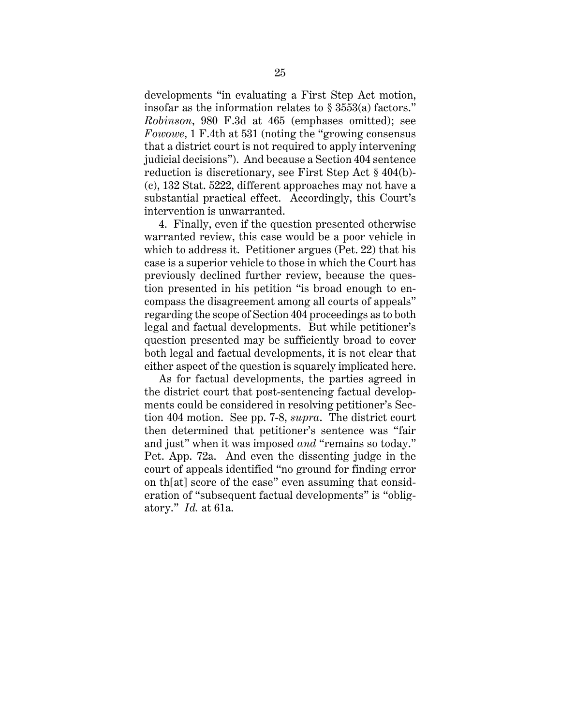developments "in evaluating a First Step Act motion, insofar as the information relates to § 3553(a) factors." *Robinson*, 980 F.3d at 465 (emphases omitted); see *Fowowe*, 1 F.4th at 531 (noting the "growing consensus that a district court is not required to apply intervening judicial decisions"). And because a Section 404 sentence reduction is discretionary, see First Step Act § 404(b)- (c), 132 Stat. 5222, different approaches may not have a substantial practical effect. Accordingly, this Court's intervention is unwarranted.

4. Finally, even if the question presented otherwise warranted review, this case would be a poor vehicle in which to address it. Petitioner argues (Pet. 22) that his case is a superior vehicle to those in which the Court has previously declined further review, because the question presented in his petition "is broad enough to encompass the disagreement among all courts of appeals" regarding the scope of Section 404 proceedings as to both legal and factual developments. But while petitioner's question presented may be sufficiently broad to cover both legal and factual developments, it is not clear that either aspect of the question is squarely implicated here.

As for factual developments, the parties agreed in the district court that post-sentencing factual developments could be considered in resolving petitioner's Section 404 motion. See pp. 7-8, *supra*. The district court then determined that petitioner's sentence was "fair and just" when it was imposed *and* "remains so today." Pet. App. 72a. And even the dissenting judge in the court of appeals identified "no ground for finding error on th[at] score of the case" even assuming that consideration of "subsequent factual developments" is "obligatory." *Id.* at 61a.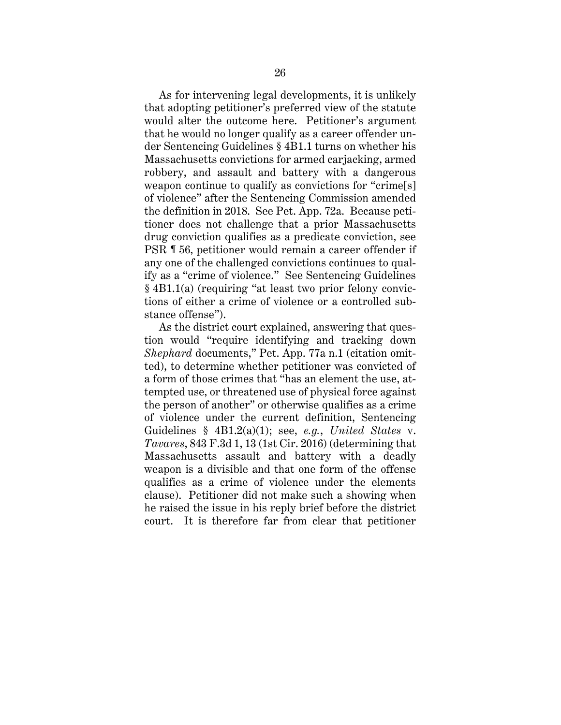As for intervening legal developments, it is unlikely that adopting petitioner's preferred view of the statute would alter the outcome here. Petitioner's argument that he would no longer qualify as a career offender under Sentencing Guidelines § 4B1.1 turns on whether his Massachusetts convictions for armed carjacking, armed robbery, and assault and battery with a dangerous weapon continue to qualify as convictions for "crime[s] of violence" after the Sentencing Commission amended the definition in 2018. See Pet. App. 72a. Because petitioner does not challenge that a prior Massachusetts drug conviction qualifies as a predicate conviction, see PSR ¶ 56, petitioner would remain a career offender if any one of the challenged convictions continues to qualify as a "crime of violence." See Sentencing Guidelines § 4B1.1(a) (requiring "at least two prior felony convictions of either a crime of violence or a controlled substance offense").

As the district court explained, answering that question would "require identifying and tracking down *Shephard* documents," Pet. App. 77a n.1 (citation omitted), to determine whether petitioner was convicted of a form of those crimes that "has an element the use, attempted use, or threatened use of physical force against the person of another" or otherwise qualifies as a crime of violence under the current definition, Sentencing Guidelines § 4B1.2(a)(1); see, *e.g.*, *United States* v. *Tavares*, 843 F.3d 1, 13 (1st Cir. 2016) (determining that Massachusetts assault and battery with a deadly weapon is a divisible and that one form of the offense qualifies as a crime of violence under the elements clause). Petitioner did not make such a showing when he raised the issue in his reply brief before the district court. It is therefore far from clear that petitioner